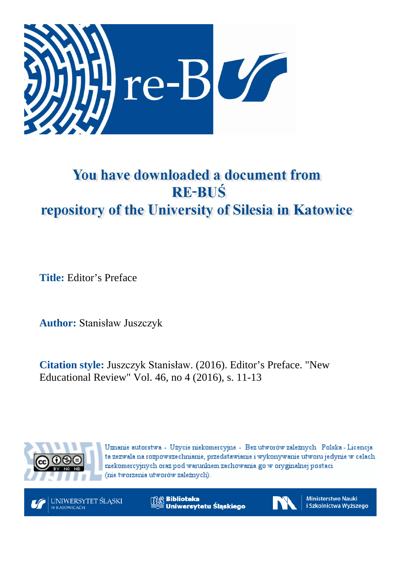

## You have downloaded a document from **RE-BUŚ** repository of the University of Silesia in Katowice

**Title:** Editor's Preface

**Author:** Stanisław Juszczyk

**Citation style:** Juszczyk Stanisław. (2016). Editor's Preface. "New Educational Review" Vol. 46, no 4 (2016), s. 11-13



Uznanie autorstwa - Użycie niekomercyjne - Bez utworów zależnych Polska - Licencja ta zezwala na rozpowszechnianie, przedstawianie i wykonywanie utworu jedynie w celach niekomercyjnych oraz pod warunkiem zachowania go w oryginalnej postaci (nie tworzenia utworów zależnych).

UNIWERSYTET ŚLĄSKI W KATOWICACH

**Biblioteka** Uniwersytetu Śląskiego



**Ministerstwo Nauki** i Szkolnictwa Wyższego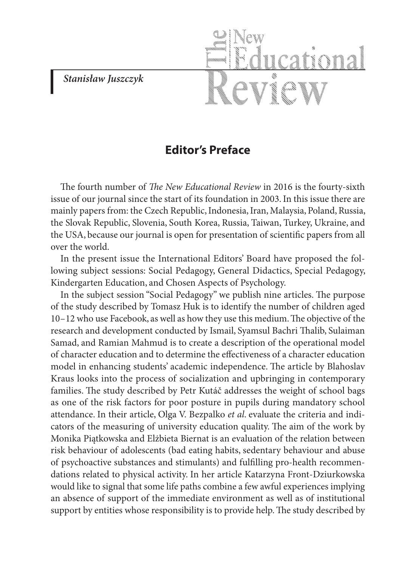*Stanisław Juszczyk*

## **Editor's Preface**

The fourth number of *The New Educational Review* in 2016 is the fourty-sixth issue of our journal since the start of its foundation in 2003. In this issue there are mainly papers from: the Czech Republic, Indonesia, Iran, Malaysia, Poland, Russia, the Slovak Republic, Slovenia, South Korea, Russia, Taiwan, Turkey, Ukraine, and the USA, because our journal is open for presentation of scientific papers from all over the world.

In the present issue the International Editors' Board have proposed the following subject sessions: Social Pedagogy, General Didactics, Special Pedagogy, Kindergarten Education, and Chosen Aspects of Psychology.

In the subject session "Social Pedagogy" we publish nine articles. The purpose of the study described by Tomasz Huk is to identify the number of children aged 10–12 who use Facebook, as well as how they use this medium. The objective of the research and development conducted by Ismail, Syamsul Bachri Thalib, Sulaiman Samad, and Ramian Mahmud is to create a description of the operational model of character education and to determine the effectiveness of a character education model in enhancing students' academic independence. The article by Blahoslav Kraus looks into the process of socialization and upbringing in contemporary families. The study described by Petr Kutáč addresses the weight of school bags as one of the risk factors for poor posture in pupils during mandatory school attendance. In their article, Olga V. Bezpalko *et al*. evaluate the criteria and indicators of the measuring of university education quality. The aim of the work by Monika Piątkowska and Elżbieta Biernat is an evaluation of the relation between risk behaviour of adolescents (bad eating habits, sedentary behaviour and abuse of psychoactive substances and stimulants) and fulfilling pro-health recommendations related to physical activity. In her article Katarzyna Front-Dziurkowska would like to signal that some life paths combine a few awful experiences implying an absence of support of the immediate environment as well as of institutional support by entities whose responsibility is to provide help. The study described by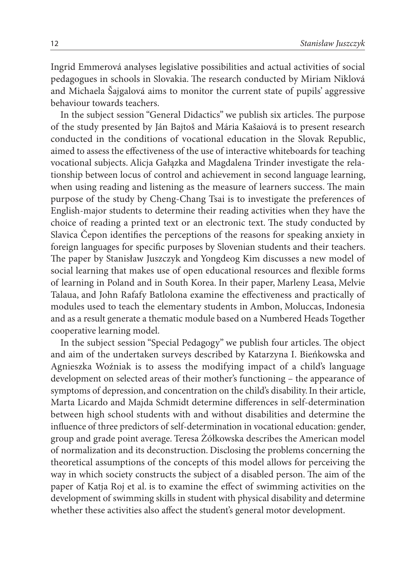Ingrid Emmerová analyses legislative possibilities and actual activities of social pedagogues in schools in Slovakia. The research conducted by Miriam Niklová and Michaela Šajgalová aims to monitor the current state of pupils' aggressive behaviour towards teachers.

In the subject session "General Didactics" we publish six articles. The purpose of the study presented by Ján Bajtoš and Mária Kašaiová is to present research conducted in the conditions of vocational education in the Slovak Republic, aimed to assess the effectiveness of the use of interactive whiteboards for teaching vocational subjects. Alicja Gałązka and Magdalena Trinder investigate the relationship between locus of control and achievement in second language learning, when using reading and listening as the measure of learners success. The main purpose of the study by Cheng-Chang Tsai is to investigate the preferences of English-major students to determine their reading activities when they have the choice of reading a printed text or an electronic text. The study conducted by Slavica Čepon identifies the perceptions of the reasons for speaking anxiety in foreign languages for specific purposes by Slovenian students and their teachers. The paper by Stanisław Juszczyk and Yongdeog Kim discusses a new model of social learning that makes use of open educational resources and flexible forms of learning in Poland and in South Korea. In their paper, Marleny Leasa, Melvie Talaua, and John Rafafy Batlolona examine the effectiveness and practically of modules used to teach the elementary students in Ambon, Moluccas, Indonesia and as a result generate a thematic module based on a Numbered Heads Together cooperative learning model.

In the subject session "Special Pedagogy" we publish four articles. The object and aim of the undertaken surveys described by Katarzyna I. Bieńkowska and Agnieszka Woźniak is to assess the modifying impact of a child's language development on selected areas of their mother's functioning – the appearance of symptoms of depression, and concentration on the child's disability. In their article, Marta Licardo and Majda Schmidt determine differences in self-determination between high school students with and without disabilities and determine the influence of three predictors of self-determination in vocational education: gender, group and grade point average. Teresa Żółkowska describes the American model of normalization and its deconstruction. Disclosing the problems concerning the theoretical assumptions of the concepts of this model allows for perceiving the way in which society constructs the subject of a disabled person. The aim of the paper of Katja Roj et al. is to examine the effect of swimming activities on the development of swimming skills in student with physical disability and determine whether these activities also affect the student's general motor development.